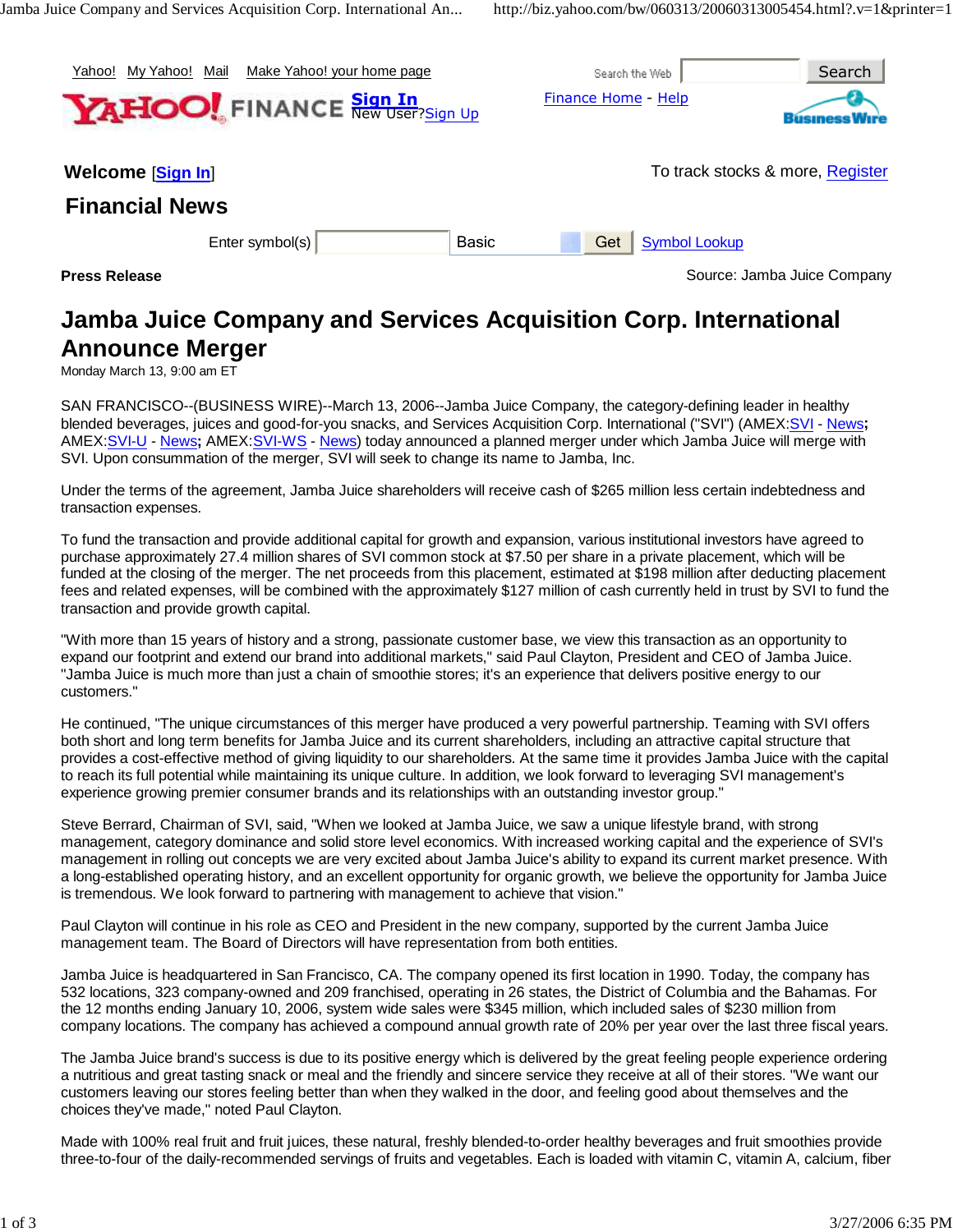| Mv Yahoo!<br>Yahoo!                        | Mail<br>Make Yahoo! your home page |              |                     | Search the Web       | Search                           |
|--------------------------------------------|------------------------------------|--------------|---------------------|----------------------|----------------------------------|
| <b>YAHOO!</b> FINANCE New User?Sign Up     |                                    |              | Finance Home - Help |                      |                                  |
| Welcome [Sign In]<br><b>Financial News</b> |                                    |              |                     |                      | To track stocks & more, Register |
|                                            | Enter symbol(s)                    | <b>Basic</b> | Get                 | <b>Symbol Lookup</b> |                                  |
| <b>Press Release</b>                       |                                    |              |                     |                      | Source: Jamba Juice Company      |

# **Jamba Juice Company and Services Acquisition Corp. International Announce Merger**

Monday March 13, 9:00 am ET

SAN FRANCISCO--(BUSINESS WIRE)--March 13, 2006--Jamba Juice Company, the category-defining leader in healthy blended beverages, juices and good-for-you snacks, and Services Acquisition Corp. International ("SVI") (AMEX:SVI - News**;** AMEX:SVI-U - News**;** AMEX:SVI-WS - News) today announced a planned merger under which Jamba Juice will merge with SVI. Upon consummation of the merger, SVI will seek to change its name to Jamba, Inc.

Under the terms of the agreement, Jamba Juice shareholders will receive cash of \$265 million less certain indebtedness and transaction expenses.

To fund the transaction and provide additional capital for growth and expansion, various institutional investors have agreed to purchase approximately 27.4 million shares of SVI common stock at \$7.50 per share in a private placement, which will be funded at the closing of the merger. The net proceeds from this placement, estimated at \$198 million after deducting placement fees and related expenses, will be combined with the approximately \$127 million of cash currently held in trust by SVI to fund the transaction and provide growth capital.

"With more than 15 years of history and a strong, passionate customer base, we view this transaction as an opportunity to expand our footprint and extend our brand into additional markets," said Paul Clayton, President and CEO of Jamba Juice. "Jamba Juice is much more than just a chain of smoothie stores; it's an experience that delivers positive energy to our customers."

He continued, "The unique circumstances of this merger have produced a very powerful partnership. Teaming with SVI offers both short and long term benefits for Jamba Juice and its current shareholders, including an attractive capital structure that provides a cost-effective method of giving liquidity to our shareholders. At the same time it provides Jamba Juice with the capital to reach its full potential while maintaining its unique culture. In addition, we look forward to leveraging SVI management's experience growing premier consumer brands and its relationships with an outstanding investor group."

Steve Berrard, Chairman of SVI, said, "When we looked at Jamba Juice, we saw a unique lifestyle brand, with strong management, category dominance and solid store level economics. With increased working capital and the experience of SVI's management in rolling out concepts we are very excited about Jamba Juice's ability to expand its current market presence. With a long-established operating history, and an excellent opportunity for organic growth, we believe the opportunity for Jamba Juice is tremendous. We look forward to partnering with management to achieve that vision."

Paul Clayton will continue in his role as CEO and President in the new company, supported by the current Jamba Juice management team. The Board of Directors will have representation from both entities.

Jamba Juice is headquartered in San Francisco, CA. The company opened its first location in 1990. Today, the company has 532 locations, 323 company-owned and 209 franchised, operating in 26 states, the District of Columbia and the Bahamas. For the 12 months ending January 10, 2006, system wide sales were \$345 million, which included sales of \$230 million from company locations. The company has achieved a compound annual growth rate of 20% per year over the last three fiscal years.

The Jamba Juice brand's success is due to its positive energy which is delivered by the great feeling people experience ordering a nutritious and great tasting snack or meal and the friendly and sincere service they receive at all of their stores. "We want our customers leaving our stores feeling better than when they walked in the door, and feeling good about themselves and the choices they've made," noted Paul Clayton.

Made with 100% real fruit and fruit juices, these natural, freshly blended-to-order healthy beverages and fruit smoothies provide three-to-four of the daily-recommended servings of fruits and vegetables. Each is loaded with vitamin C, vitamin A, calcium, fiber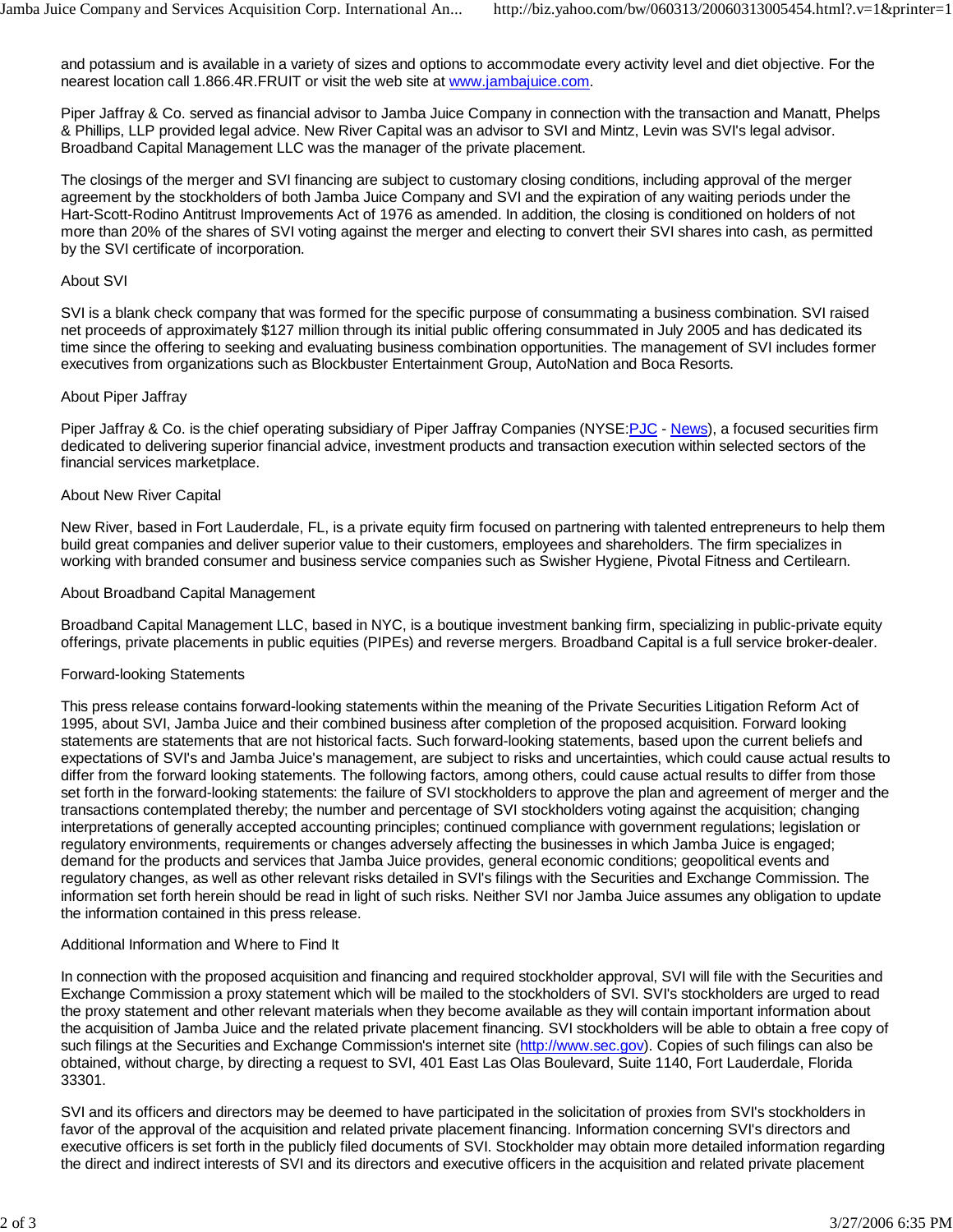and potassium and is available in a variety of sizes and options to accommodate every activity level and diet objective. For the nearest location call 1.866.4R.FRUIT or visit the web site at www.jambajuice.com.

Piper Jaffray & Co. served as financial advisor to Jamba Juice Company in connection with the transaction and Manatt, Phelps & Phillips, LLP provided legal advice. New River Capital was an advisor to SVI and Mintz, Levin was SVI's legal advisor. Broadband Capital Management LLC was the manager of the private placement.

The closings of the merger and SVI financing are subject to customary closing conditions, including approval of the merger agreement by the stockholders of both Jamba Juice Company and SVI and the expiration of any waiting periods under the Hart-Scott-Rodino Antitrust Improvements Act of 1976 as amended. In addition, the closing is conditioned on holders of not more than 20% of the shares of SVI voting against the merger and electing to convert their SVI shares into cash, as permitted by the SVI certificate of incorporation.

### About SVI

SVI is a blank check company that was formed for the specific purpose of consummating a business combination. SVI raised net proceeds of approximately \$127 million through its initial public offering consummated in July 2005 and has dedicated its time since the offering to seeking and evaluating business combination opportunities. The management of SVI includes former executives from organizations such as Blockbuster Entertainment Group, AutoNation and Boca Resorts.

#### About Piper Jaffray

Piper Jaffray & Co. is the chief operating subsidiary of Piper Jaffray Companies (NYSE: PJC - News), a focused securities firm dedicated to delivering superior financial advice, investment products and transaction execution within selected sectors of the financial services marketplace.

#### About New River Capital

New River, based in Fort Lauderdale, FL, is a private equity firm focused on partnering with talented entrepreneurs to help them build great companies and deliver superior value to their customers, employees and shareholders. The firm specializes in working with branded consumer and business service companies such as Swisher Hygiene, Pivotal Fitness and Certilearn.

#### About Broadband Capital Management

Broadband Capital Management LLC, based in NYC, is a boutique investment banking firm, specializing in public-private equity offerings, private placements in public equities (PIPEs) and reverse mergers. Broadband Capital is a full service broker-dealer.

## Forward-looking Statements

This press release contains forward-looking statements within the meaning of the Private Securities Litigation Reform Act of 1995, about SVI, Jamba Juice and their combined business after completion of the proposed acquisition. Forward looking statements are statements that are not historical facts. Such forward-looking statements, based upon the current beliefs and expectations of SVI's and Jamba Juice's management, are subject to risks and uncertainties, which could cause actual results to differ from the forward looking statements. The following factors, among others, could cause actual results to differ from those set forth in the forward-looking statements: the failure of SVI stockholders to approve the plan and agreement of merger and the transactions contemplated thereby; the number and percentage of SVI stockholders voting against the acquisition; changing interpretations of generally accepted accounting principles; continued compliance with government regulations; legislation or regulatory environments, requirements or changes adversely affecting the businesses in which Jamba Juice is engaged; demand for the products and services that Jamba Juice provides, general economic conditions; geopolitical events and regulatory changes, as well as other relevant risks detailed in SVI's filings with the Securities and Exchange Commission. The information set forth herein should be read in light of such risks. Neither SVI nor Jamba Juice assumes any obligation to update the information contained in this press release.

## Additional Information and Where to Find It

In connection with the proposed acquisition and financing and required stockholder approval, SVI will file with the Securities and Exchange Commission a proxy statement which will be mailed to the stockholders of SVI. SVI's stockholders are urged to read the proxy statement and other relevant materials when they become available as they will contain important information about the acquisition of Jamba Juice and the related private placement financing. SVI stockholders will be able to obtain a free copy of such filings at the Securities and Exchange Commission's internet site (http://www.sec.gov). Copies of such filings can also be obtained, without charge, by directing a request to SVI, 401 East Las Olas Boulevard, Suite 1140, Fort Lauderdale, Florida 33301.

SVI and its officers and directors may be deemed to have participated in the solicitation of proxies from SVI's stockholders in favor of the approval of the acquisition and related private placement financing. Information concerning SVI's directors and executive officers is set forth in the publicly filed documents of SVI. Stockholder may obtain more detailed information regarding the direct and indirect interests of SVI and its directors and executive officers in the acquisition and related private placement